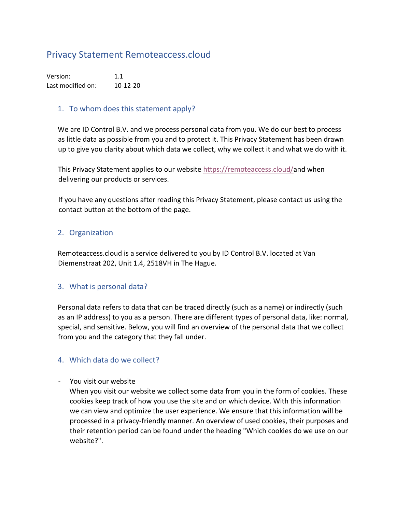# Privacy Statement Remoteaccess.cloud

Version: 1.1 Last modified on: 10-12-20

#### 1. To whom does this statement apply?

We are ID Control B.V. and we process personal data from you. We do our best to process as little data as possible from you and to protect it. This Privacy Statement has been drawn up to give you clarity about which data we collect, why we collect it and what we do with it.

This Privacy Statement applies to our website [https://remoteaccess.cloud/a](https://remoteaccess.cloud/)nd when delivering our products or services.

If you have any questions after reading this Privacy Statement, please contact us using the contact button at the bottom of the page.

#### 2. Organization

Remoteaccess.cloud is a service delivered to you by ID Control B.V. located at Van Diemenstraat 202, Unit 1.4, 2518VH in The Hague.

#### 3. What is personal data?

Personal data refers to data that can be traced directly (such as a name) or indirectly (such as an IP address) to you as a person. There are different types of personal data, like: normal, special, and sensitive. Below, you will find an overview of the personal data that we collect from you and the category that they fall under.

## 4. Which data do we collect?

- You visit our website

When you visit our website we collect some data from you in the form of cookies. These cookies keep track of how you use the site and on which device. With this information we can view and optimize the user experience. We ensure that this information will be processed in a privacy-friendly manner. An overview of used cookies, their purposes and their retention period can be found under the heading "Which cookies do we use on our website?".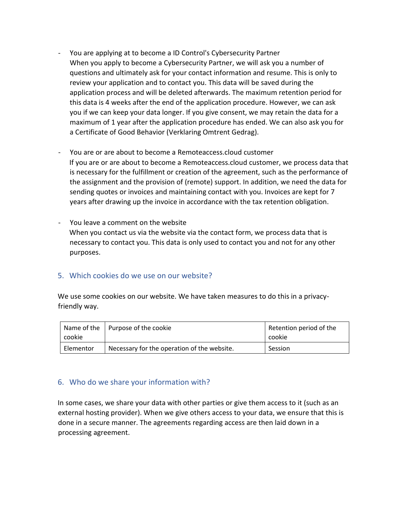- You are applying at to become a ID Control's Cybersecurity Partner When you apply to become a Cybersecurity Partner, we will ask you a number of questions and ultimately ask for your contact information and resume. This is only to review your application and to contact you. This data will be saved during the application process and will be deleted afterwards. The maximum retention period for this data is 4 weeks after the end of the application procedure. However, we can ask you if we can keep your data longer. If you give consent, we may retain the data for a maximum of 1 year after the application procedure has ended. We can also ask you for a Certificate of Good Behavior (Verklaring Omtrent Gedrag).
- You are or are about to become a Remoteaccess.cloud customer If you are or are about to become a Remoteaccess.cloud customer, we process data that is necessary for the fulfillment or creation of the agreement, such as the performance of the assignment and the provision of (remote) support. In addition, we need the data for sending quotes or invoices and maintaining contact with you. Invoices are kept for 7 years after drawing up the invoice in accordance with the tax retention obligation.
- You leave a comment on the website When you contact us via the website via the contact form, we process data that is necessary to contact you. This data is only used to contact you and not for any other purposes.

#### 5. Which cookies do we use on our website?

We use some cookies on our website. We have taken measures to do this in a privacyfriendly way.

|           | Name of the   Purpose of the cookie         | Retention period of the |
|-----------|---------------------------------------------|-------------------------|
| cookie    |                                             | cookie                  |
| Elementor | Necessary for the operation of the website. | Session                 |

#### 6. Who do we share your information with?

In some cases, we share your data with other parties or give them access to it (such as an external hosting provider). When we give others access to your data, we ensure that this is done in a secure manner. The agreements regarding access are then laid down in a processing agreement.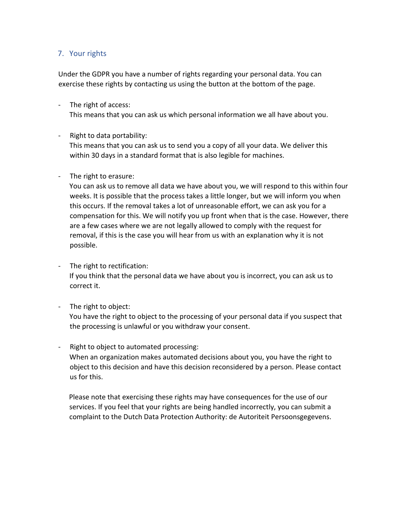## 7. Your rights

Under the GDPR you have a number of rights regarding your personal data. You can exercise these rights by contacting us using the button at the bottom of the page.

- The right of access: This means that you can ask us which personal information we all have about you.
- Right to data portability:

This means that you can ask us to send you a copy of all your data. We deliver this within 30 days in a standard format that is also legible for machines.

#### - The right to erasure:

You can ask us to remove all data we have about you, we will respond to this within four weeks. It is possible that the process takes a little longer, but we will inform you when this occurs. If the removal takes a lot of unreasonable effort, we can ask you for a compensation for this. We will notify you up front when that is the case. However, there are a few cases where we are not legally allowed to comply with the request for removal, if this is the case you will hear from us with an explanation why it is not possible.

- The right to rectification: If you think that the personal data we have about you is incorrect, you can ask us to correct it.
- The right to object:

You have the right to object to the processing of your personal data if you suspect that the processing is unlawful or you withdraw your consent.

Right to object to automated processing: When an organization makes automated decisions about you, you have the right to object to this decision and have this decision reconsidered by a person. Please contact us for this.

Please note that exercising these rights may have consequences for the use of our services. If you feel that your rights are being handled incorrectly, you can submit a complaint to the Dutch Data Protection Authority: de Autoriteit Persoonsgegevens.